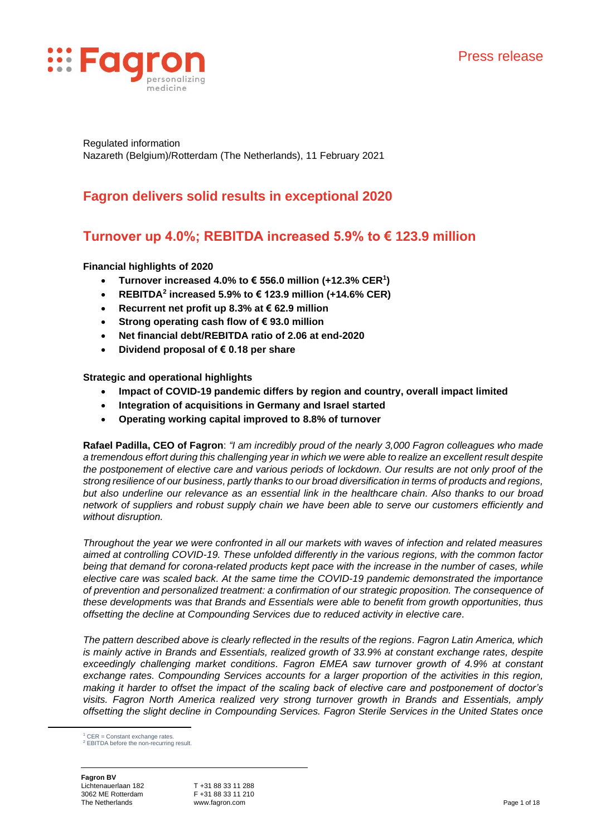

Regulated information Nazareth (Belgium)/Rotterdam (The Netherlands), 11 February 2021

# **Fagron delivers solid results in exceptional 2020**

# **Turnover up 4.0%; REBITDA increased 5.9% to € 123.9 million**

# **Financial highlights of 2020**

- **Turnover increased 4.0% to € 556.0 million (+12.3% CER<sup>1</sup> )**
- **REBITDA<sup>2</sup> increased 5.9% to € 123.9 million (+14.6% CER)**
- **Recurrent net profit up 8.3% at € 62.9 million**
- **Strong operating cash flow of € 93.0 million**
- **Net financial debt/REBITDA ratio of 2.06 at end-2020**
- **Dividend proposal of € 0.18 per share**

**Strategic and operational highlights**

- **Impact of COVID-19 pandemic differs by region and country, overall impact limited**
- **Integration of acquisitions in Germany and Israel started**
- **Operating working capital improved to 8.8% of turnover**

**Rafael Padilla, CEO of Fagron**: *"I am incredibly proud of the nearly 3,000 Fagron colleagues who made a tremendous effort during this challenging year in which we were able to realize an excellent result despite the postponement of elective care and various periods of lockdown. Our results are not only proof of the strong resilience of our business, partly thanks to our broad diversification in terms of products and regions, but also underline our relevance as an essential link in the healthcare chain. Also thanks to our broad network of suppliers and robust supply chain we have been able to serve our customers efficiently and without disruption.*

*Throughout the year we were confronted in all our markets with waves of infection and related measures aimed at controlling COVID-19. These unfolded differently in the various regions, with the common factor being that demand for corona-related products kept pace with the increase in the number of cases, while elective care was scaled back. At the same time the COVID-19 pandemic demonstrated the importance of prevention and personalized treatment: a confirmation of our strategic proposition. The consequence of these developments was that Brands and Essentials were able to benefit from growth opportunities, thus offsetting the decline at Compounding Services due to reduced activity in elective care.* 

*The pattern described above is clearly reflected in the results of the regions. Fagron Latin America, which is mainly active in Brands and Essentials, realized growth of 33.9% at constant exchange rates, despite exceedingly challenging market conditions. Fagron EMEA saw turnover growth of 4.9% at constant exchange rates. Compounding Services accounts for a larger proportion of the activities in this region, making it harder to offset the impact of the scaling back of elective care and postponement of doctor's visits. Fagron North America realized very strong turnover growth in Brands and Essentials, amply offsetting the slight decline in Compounding Services. Fagron Sterile Services in the United States once* 

**Fagron BV** Lichtenauerlaan 182 3062 ME Rotterdam The Netherlands

T +31 88 33 11 288 F +31 88 33 11 210 www.fagron.com **Page 1 of 18** 

 $1$  CER = Constant exchange rates <sup>2</sup> EBITDA before the non-recurring result.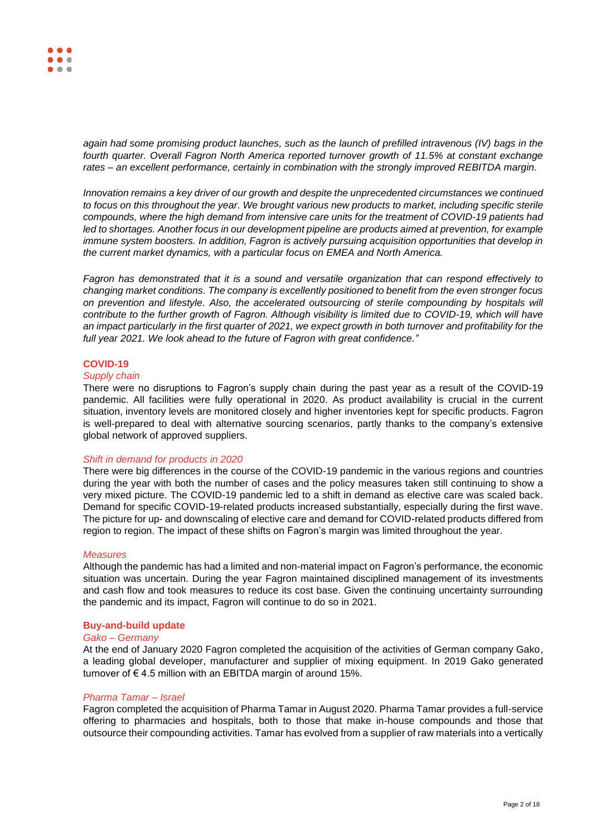*again had some promising product launches, such as the launch of prefilled intravenous (IV) bags in the fourth quarter. Overall Fagron North America reported turnover growth of 11.5% at constant exchange rates – an excellent performance, certainly in combination with the strongly improved REBITDA margin.*

*Innovation remains a key driver of our growth and despite the unprecedented circumstances we continued*  to focus on this throughout the year. We brought various new products to market, including specific sterile *compounds, where the high demand from intensive care units for the treatment of COVID-19 patients had led to shortages. Another focus in our development pipeline are products aimed at prevention, for example immune system boosters. In addition, Fagron is actively pursuing acquisition opportunities that develop in the current market dynamics, with a particular focus on EMEA and North America.*

*Fagron has demonstrated that it is a sound and versatile organization that can respond effectively to changing market conditions. The company is excellently positioned to benefit from the even stronger focus on prevention and lifestyle. Also, the accelerated outsourcing of sterile compounding by hospitals will contribute to the further growth of Fagron. Although visibility is limited due to COVID-19, which will have an impact particularly in the first quarter of 2021, we expect growth in both turnover and profitability for the full year 2021. We look ahead to the future of Fagron with great confidence."*

# **COVID-19**

### *Supply chain*

There were no disruptions to Fagron's supply chain during the past year as a result of the COVID-19 pandemic. All facilities were fully operational in 2020. As product availability is crucial in the current situation, inventory levels are monitored closely and higher inventories kept for specific products. Fagron is well-prepared to deal with alternative sourcing scenarios, partly thanks to the company's extensive global network of approved suppliers.

# *Shift in demand for products in 2020*

There were big differences in the course of the COVID-19 pandemic in the various regions and countries during the year with both the number of cases and the policy measures taken still continuing to show a very mixed picture. The COVID-19 pandemic led to a shift in demand as elective care was scaled back. Demand for specific COVID-19-related products increased substantially, especially during the first wave. The picture for up- and downscaling of elective care and demand for COVID-related products differed from region to region. The impact of these shifts on Fagron's margin was limited throughout the year.

#### *Measures*

Although the pandemic has had a limited and non-material impact on Fagron's performance, the economic situation was uncertain. During the year Fagron maintained disciplined management of its investments and cash flow and took measures to reduce its cost base. Given the continuing uncertainty surrounding the pandemic and its impact, Fagron will continue to do so in 2021.

# **Buy-and-build update**

#### *Gako – Germany*

At the end of January 2020 Fagron completed the acquisition of the activities of German company Gako, a leading global developer, manufacturer and supplier of mixing equipment. In 2019 Gako generated turnover of € 4.5 million with an EBITDA margin of around 15%.

#### *Pharma Tamar – Israel*

Fagron completed the acquisition of Pharma Tamar in August 2020. Pharma Tamar provides a full-service offering to pharmacies and hospitals, both to those that make in-house compounds and those that outsource their compounding activities. Tamar has evolved from a supplier of raw materials into a vertically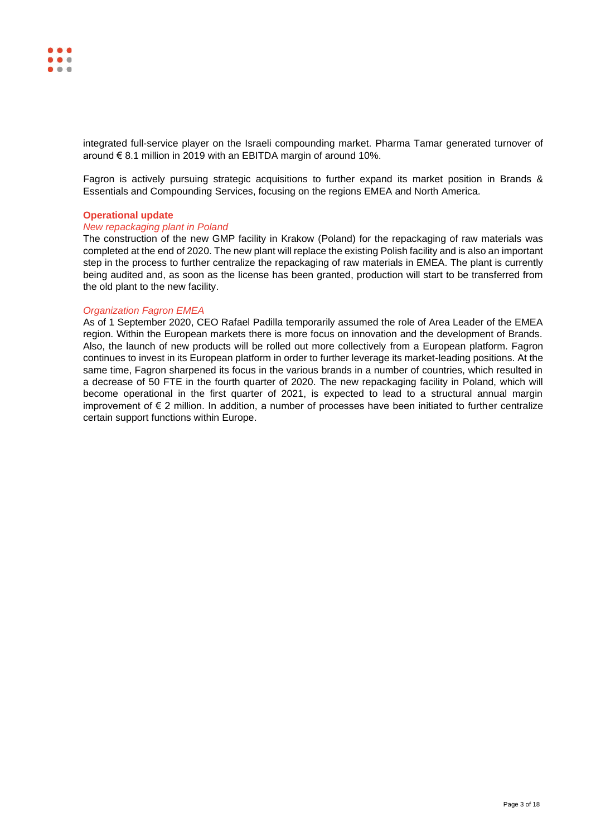integrated full-service player on the Israeli compounding market. Pharma Tamar generated turnover of around € 8.1 million in 2019 with an EBITDA margin of around 10%.

Fagron is actively pursuing strategic acquisitions to further expand its market position in Brands & Essentials and Compounding Services, focusing on the regions EMEA and North America.

# **Operational update**

# *New repackaging plant in Poland*

The construction of the new GMP facility in Krakow (Poland) for the repackaging of raw materials was completed at the end of 2020. The new plant will replace the existing Polish facility and is also an important step in the process to further centralize the repackaging of raw materials in EMEA. The plant is currently being audited and, as soon as the license has been granted, production will start to be transferred from the old plant to the new facility.

# *Organization Fagron EMEA*

As of 1 September 2020, CEO Rafael Padilla temporarily assumed the role of Area Leader of the EMEA region. Within the European markets there is more focus on innovation and the development of Brands. Also, the launch of new products will be rolled out more collectively from a European platform. Fagron continues to invest in its European platform in order to further leverage its market-leading positions. At the same time, Fagron sharpened its focus in the various brands in a number of countries, which resulted in a decrease of 50 FTE in the fourth quarter of 2020. The new repackaging facility in Poland, which will become operational in the first quarter of 2021, is expected to lead to a structural annual margin improvement of € 2 million. In addition, a number of processes have been initiated to further centralize certain support functions within Europe.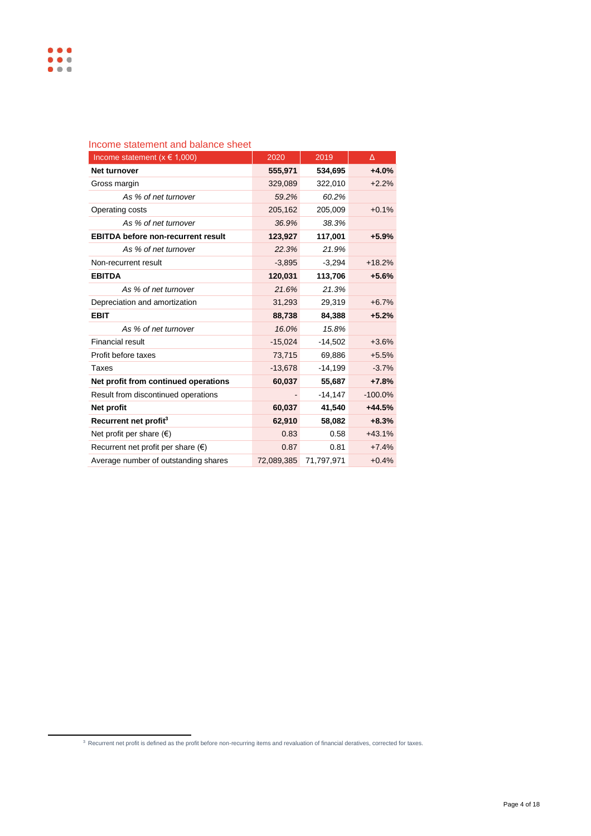| טטוווט טנענטוווטווג עווע געועווטט טווטטנ    |            |            |           |
|---------------------------------------------|------------|------------|-----------|
| Income statement ( $x \in 1,000$ )          | 2020       | 2019       | Δ         |
| <b>Net turnover</b>                         | 555,971    | 534,695    | $+4.0%$   |
| Gross margin                                | 329,089    | 322,010    | $+2.2%$   |
| As % of net turnover                        | 59.2%      | 60.2%      |           |
| Operating costs                             | 205,162    | 205,009    | $+0.1%$   |
| As % of net turnover                        | 36.9%      | 38.3%      |           |
| <b>EBITDA before non-recurrent result</b>   | 123,927    | 117,001    | $+5.9%$   |
| As % of net turnover                        | 22.3%      | 21.9%      |           |
| Non-recurrent result                        | $-3,895$   | $-3,294$   | $+18.2%$  |
| <b>EBITDA</b>                               | 120,031    | 113,706    | $+5.6%$   |
| As % of net turnover                        | 21.6%      | 21.3%      |           |
| Depreciation and amortization               | 31,293     | 29,319     | $+6.7%$   |
| <b>EBIT</b>                                 | 88,738     | 84,388     | $+5.2%$   |
| As % of net turnover                        | 16.0%      | 15.8%      |           |
| <b>Financial result</b>                     | $-15,024$  | $-14,502$  | $+3.6%$   |
| Profit before taxes                         | 73,715     | 69,886     | $+5.5%$   |
| Taxes                                       | $-13,678$  | $-14,199$  | $-3.7%$   |
| Net profit from continued operations        | 60,037     | 55,687     | $+7.8%$   |
| Result from discontinued operations         |            | $-14,147$  | $-100.0%$ |
| Net profit                                  | 60,037     | 41,540     | $+44.5%$  |
| Recurrent net profit <sup>3</sup>           | 62,910     | 58,082     | $+8.3%$   |
| Net profit per share $(\epsilon)$           | 0.83       | 0.58       | $+43.1%$  |
| Recurrent net profit per share $(\epsilon)$ | 0.87       | 0.81       | $+7.4%$   |
| Average number of outstanding shares        | 72,089,385 | 71.797.971 | $+0.4%$   |

# Income statement and balance sheet

 $3$  Recurrent net profit is defined as the profit before non-recurring items and revaluation of financial deratives, corrected for taxes.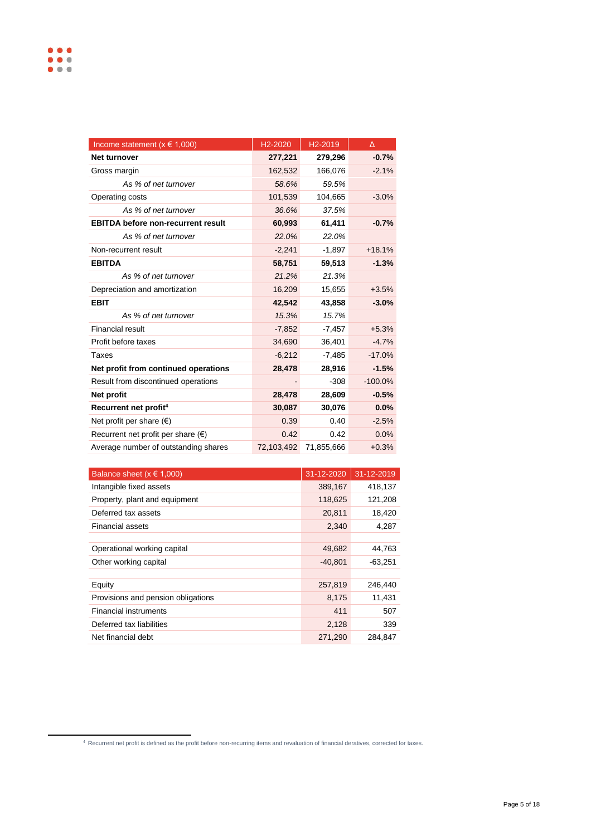| Income statement ( $x \in 1,000$ )          | H <sub>2</sub> -2020 | H <sub>2</sub> -2019 | Δ         |
|---------------------------------------------|----------------------|----------------------|-----------|
| <b>Net turnover</b>                         | 277,221              | 279,296              | $-0.7%$   |
| Gross margin                                | 162,532              | 166,076              | $-2.1%$   |
| As % of net turnover                        | 58.6%                | 59.5%                |           |
| Operating costs                             | 101,539              | 104,665              | $-3.0%$   |
| As % of net turnover                        | 36.6%                | 37.5%                |           |
| <b>EBITDA before non-recurrent result</b>   | 60,993               | 61,411               | $-0.7%$   |
| As % of net turnover                        | 22.0%                | 22.0%                |           |
| Non-recurrent result                        | $-2,241$             | $-1,897$             | $+18.1%$  |
| <b>EBITDA</b>                               | 58,751               | 59,513               | $-1.3%$   |
| As % of net turnover                        | 21.2%                | 21.3%                |           |
| Depreciation and amortization               | 16,209               | 15,655               | $+3.5%$   |
| <b>EBIT</b>                                 | 42,542               | 43,858               | $-3.0%$   |
| As % of net turnover                        | 15.3%                | 15.7%                |           |
| Financial result                            | $-7,852$             | $-7,457$             | $+5.3%$   |
| Profit before taxes                         | 34,690               | 36,401               | $-4.7%$   |
| Taxes                                       | $-6,212$             | $-7,485$             | $-17.0%$  |
| Net profit from continued operations        | 28,478               | 28,916               | $-1.5%$   |
| Result from discontinued operations         |                      | $-308$               | $-100.0%$ |
| Net profit                                  | 28,478               | 28,609               | $-0.5%$   |
| Recurrent net profit <sup>4</sup>           | 30,087               | 30,076               | 0.0%      |
| Net profit per share $(\epsilon)$           | 0.39                 | 0.40                 | $-2.5%$   |
| Recurrent net profit per share $(\epsilon)$ | 0.42                 | 0.42                 | 0.0%      |
| Average number of outstanding shares        | 72,103,492           | 71,855,666           | $+0.3%$   |

| Balance sheet ( $x \in 1,000$ )    | 31-12-2020 | 31-12-2019 |
|------------------------------------|------------|------------|
| Intangible fixed assets            | 389,167    | 418,137    |
| Property, plant and equipment      | 118,625    | 121,208    |
| Deferred tax assets                | 20,811     | 18,420     |
| Financial assets                   | 2,340      | 4,287      |
|                                    |            |            |
| Operational working capital        | 49,682     | 44,763     |
| Other working capital              | $-40,801$  | $-63,251$  |
|                                    |            |            |
| Equity                             | 257,819    | 246,440    |
| Provisions and pension obligations | 8,175      | 11,431     |
| <b>Financial instruments</b>       | 411        | 507        |
| Deferred tax liabilities           | 2,128      | 339        |
| Net financial debt                 | 271,290    | 284.847    |

<sup>4</sup>Recurrent net profit is defined as the profit before non-recurring items and revaluation of financial deratives, corrected for taxes.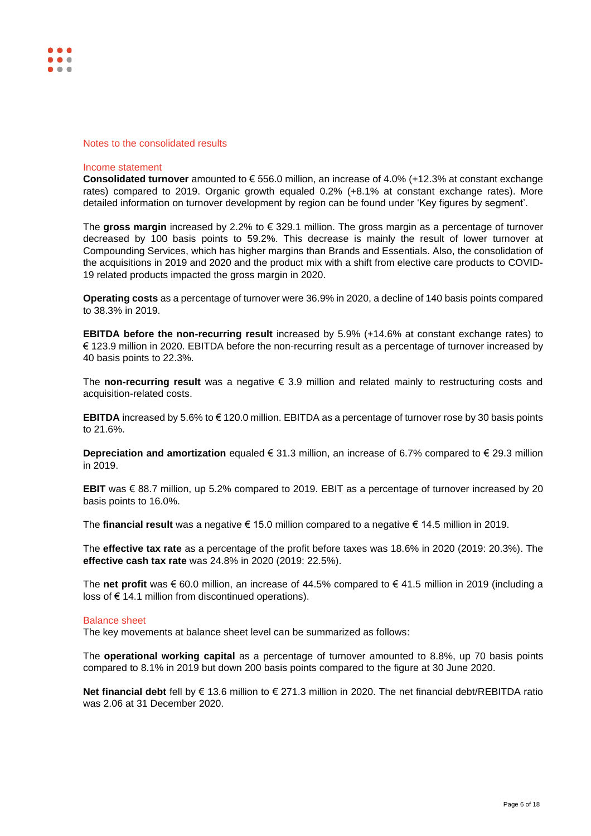

#### Notes to the consolidated results

### Income statement

**Consolidated turnover** amounted to € 556.0 million, an increase of 4.0% (+12.3% at constant exchange rates) compared to 2019. Organic growth equaled 0.2% (+8.1% at constant exchange rates). More detailed information on turnover development by region can be found under 'Key figures by segment'.

The **gross margin** increased by 2.2% to € 329.1 million. The gross margin as a percentage of turnover decreased by 100 basis points to 59.2%. This decrease is mainly the result of lower turnover at Compounding Services, which has higher margins than Brands and Essentials. Also, the consolidation of the acquisitions in 2019 and 2020 and the product mix with a shift from elective care products to COVID-19 related products impacted the gross margin in 2020.

**Operating costs** as a percentage of turnover were 36.9% in 2020, a decline of 140 basis points compared to 38.3% in 2019.

**EBITDA before the non-recurring result** increased by 5.9% (+14.6% at constant exchange rates) to € 123.9 million in 2020. EBITDA before the non-recurring result as a percentage of turnover increased by 40 basis points to 22.3%.

The **non-recurring result** was a negative € 3.9 million and related mainly to restructuring costs and acquisition-related costs.

**EBITDA** increased by 5.6% to € 120.0 million. EBITDA as a percentage of turnover rose by 30 basis points to 21.6%.

**Depreciation and amortization** equaled € 31.3 million, an increase of 6.7% compared to € 29.3 million in 2019.

**EBIT** was € 88.7 million, up 5.2% compared to 2019. EBIT as a percentage of turnover increased by 20 basis points to 16.0%.

The **financial result** was a negative € 15.0 million compared to a negative € 14.5 million in 2019.

The **effective tax rate** as a percentage of the profit before taxes was 18.6% in 2020 (2019: 20.3%). The **effective cash tax rate** was 24.8% in 2020 (2019: 22.5%).

The **net profit** was € 60.0 million, an increase of 44.5% compared to € 41.5 million in 2019 (including a loss of € 14.1 million from discontinued operations).

#### Balance sheet

The key movements at balance sheet level can be summarized as follows:

The **operational working capital** as a percentage of turnover amounted to 8.8%, up 70 basis points compared to 8.1% in 2019 but down 200 basis points compared to the figure at 30 June 2020.

**Net financial debt** fell by € 13.6 million to € 271.3 million in 2020. The net financial debt/REBITDA ratio was 2.06 at 31 December 2020.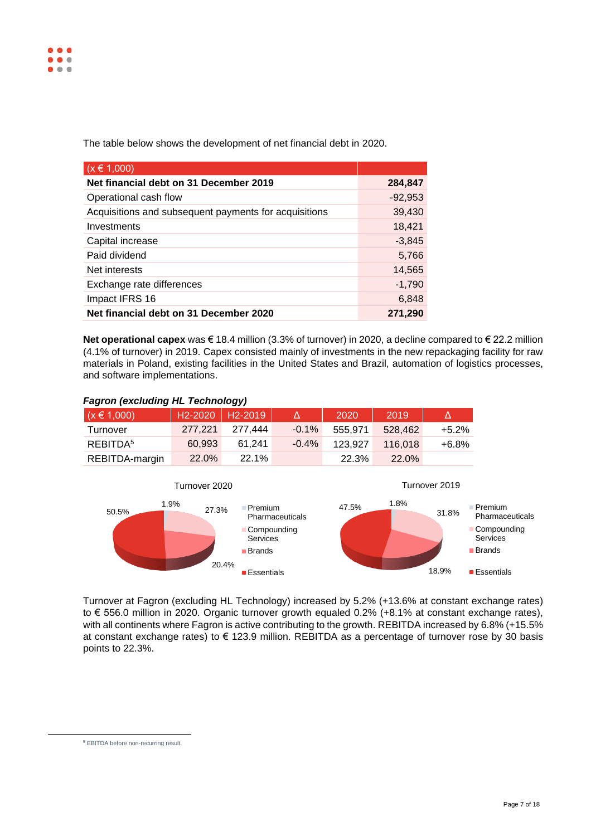The table below shows the development of net financial debt in 2020.

| $(x \in 1,000)$                                       |           |
|-------------------------------------------------------|-----------|
| Net financial debt on 31 December 2019                | 284,847   |
| Operational cash flow                                 | $-92,953$ |
| Acquisitions and subsequent payments for acquisitions | 39,430    |
| Investments                                           | 18,421    |
| Capital increase                                      | $-3,845$  |
| Paid dividend                                         | 5,766     |
| Net interests                                         | 14,565    |
| Exchange rate differences                             | $-1,790$  |
| Impact IFRS 16                                        | 6,848     |
| Net financial debt on 31 December 2020                | 271,290   |

**Net operational capex** was € 18.4 million (3.3% of turnover) in 2020, a decline compared to € 22.2 million (4.1% of turnover) in 2019. Capex consisted mainly of investments in the new repackaging facility for raw materials in Poland, existing facilities in the United States and Brazil, automation of logistics processes, and software implementations.

# *Fagron (excluding HL Technology)*

| $(x \in 1,000)$      | H <sub>2</sub> -2020   H <sub>2</sub> -2019 |              |          | 2020    | 2019         |         |
|----------------------|---------------------------------------------|--------------|----------|---------|--------------|---------|
| Turnover             | 277.221                                     | 277.444      | $-0.1%$  | 555.971 | 528.462      | $+5.2%$ |
| REBITDA <sup>5</sup> | 60.993                                      | 61.241       | $-0.4\%$ | 123.927 | 116.018      | $+6.8%$ |
| REBITDA-margin       | <b>22.0%</b>                                | <b>22.1%</b> |          | 22.3%   | <b>22.0%</b> |         |



Turnover at Fagron (excluding HL Technology) increased by 5.2% (+13.6% at constant exchange rates) to € 556.0 million in 2020. Organic turnover growth equaled 0.2% (+8.1% at constant exchange rates), with all continents where Fagron is active contributing to the growth. REBITDA increased by 6.8% (+15.5% at constant exchange rates) to € 123.9 million. REBITDA as a percentage of turnover rose by 30 basis points to 22.3%.

<sup>5</sup> EBITDA before non-recurring result.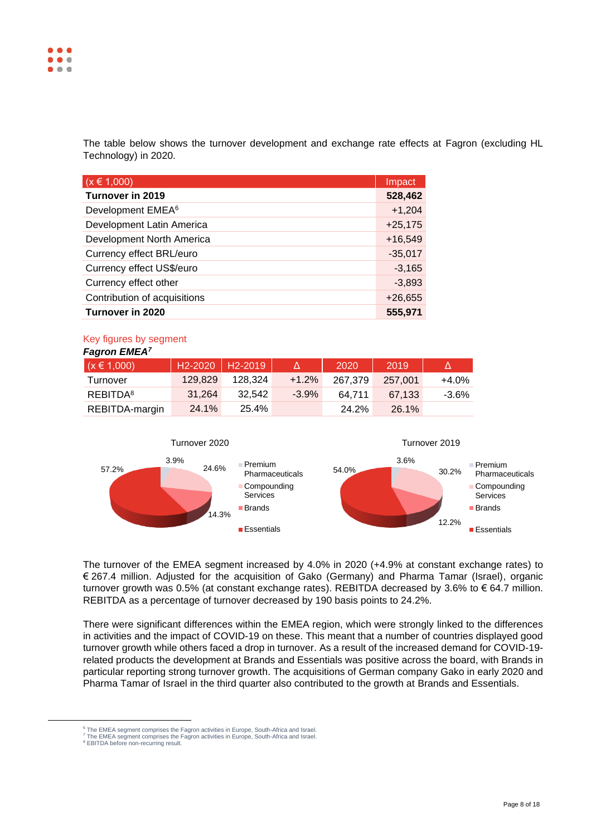The table below shows the turnover development and exchange rate effects at Fagron (excluding HL Technology) in 2020.

| $(x \in 1,000)$               | Impact    |
|-------------------------------|-----------|
| Turnover in 2019              | 528,462   |
| Development EMEA <sup>6</sup> | $+1,204$  |
| Development Latin America     | $+25,175$ |
| Development North America     | $+16,549$ |
| Currency effect BRL/euro      | $-35,017$ |
| Currency effect US\$/euro     | $-3,165$  |
| Currency effect other         | $-3,893$  |
| Contribution of acquisitions  | $+26,655$ |
| Turnover in 2020              | 555,971   |

#### Key figures by segment *Fagron EMEA<sup>7</sup>*

| <b>Fagron EMEA</b>   |                                             |         |         |         |         |         |
|----------------------|---------------------------------------------|---------|---------|---------|---------|---------|
| $(x \in 1,000)$      | H <sub>2</sub> -2020   H <sub>2</sub> -2019 |         |         | 2020    | 2019    | Δ       |
| Turnover             | 129,829                                     | 128.324 | $+1.2%$ | 267.379 | 257.001 | $+4.0%$ |
| REBITDA <sup>8</sup> | 31.264                                      | 32.542  | $-3.9%$ | 64.711  | 67.133  | $-3.6%$ |
| REBITDA-margin       | 24.1%                                       | 25.4%   |         | 24.2%   | 26.1%   |         |



The turnover of the EMEA segment increased by 4.0% in 2020 (+4.9% at constant exchange rates) to € 267.4 million. Adjusted for the acquisition of Gako (Germany) and Pharma Tamar (Israel), organic turnover growth was 0.5% (at constant exchange rates). REBITDA decreased by 3.6% to € 64.7 million. REBITDA as a percentage of turnover decreased by 190 basis points to 24.2%.

There were significant differences within the EMEA region, which were strongly linked to the differences in activities and the impact of COVID-19 on these. This meant that a number of countries displayed good turnover growth while others faced a drop in turnover. As a result of the increased demand for COVID-19 related products the development at Brands and Essentials was positive across the board, with Brands in particular reporting strong turnover growth. The acquisitions of German company Gako in early 2020 and Pharma Tamar of Israel in the third quarter also contributed to the growth at Brands and Essentials.

 $^6$  The EMEA segment comprises the Fagron activities in Europe, South-Africa and Israel.<br><sup>7</sup> The EMEA segment comprises the Fagron activities in Europe, South-Africa and Israel.

<sup>&</sup>lt;sup>8</sup> EBITDA before non-recurring result.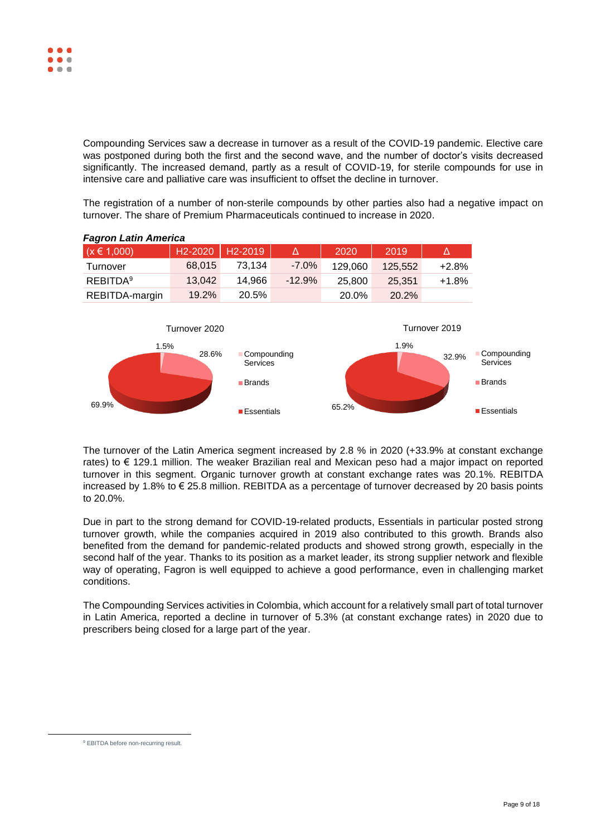Compounding Services saw a decrease in turnover as a result of the COVID-19 pandemic. Elective care was postponed during both the first and the second wave, and the number of doctor's visits decreased significantly. The increased demand, partly as a result of COVID-19, for sterile compounds for use in intensive care and palliative care was insufficient to offset the decline in turnover.

The registration of a number of non-sterile compounds by other parties also had a negative impact on turnover. The share of Premium Pharmaceuticals continued to increase in 2020.



# *Fagron Latin America*



The turnover of the Latin America segment increased by 2.8 % in 2020 (+33.9% at constant exchange rates) to € 129.1 million. The weaker Brazilian real and Mexican peso had a major impact on reported turnover in this segment. Organic turnover growth at constant exchange rates was 20.1%. REBITDA increased by 1.8% to € 25.8 million. REBITDA as a percentage of turnover decreased by 20 basis points to 20.0%.

Due in part to the strong demand for COVID-19-related products, Essentials in particular posted strong turnover growth, while the companies acquired in 2019 also contributed to this growth. Brands also benefited from the demand for pandemic-related products and showed strong growth, especially in the second half of the year. Thanks to its position as a market leader, its strong supplier network and flexible way of operating, Fagron is well equipped to achieve a good performance, even in challenging market conditions.

The Compounding Services activities in Colombia, which account for a relatively small part of total turnover in Latin America, reported a decline in turnover of 5.3% (at constant exchange rates) in 2020 due to prescribers being closed for a large part of the year.

<sup>&</sup>lt;sup>9</sup> EBITDA before non-recurring result.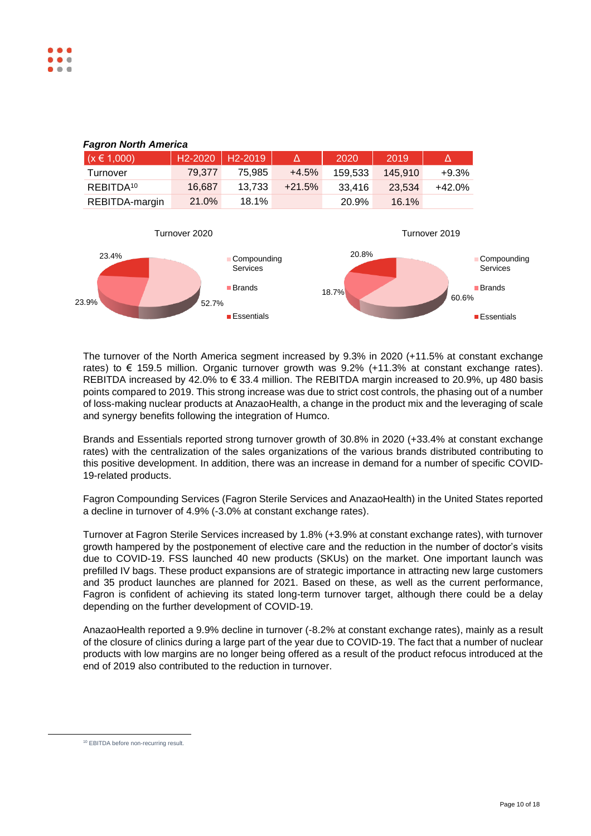

The turnover of the North America segment increased by 9.3% in 2020 (+11.5% at constant exchange rates) to € 159.5 million. Organic turnover growth was  $9.2\%$  (+11.3% at constant exchange rates). REBITDA increased by 42.0% to € 33.4 million. The REBITDA margin increased to 20.9%, up 480 basis points compared to 2019. This strong increase was due to strict cost controls, the phasing out of a number of loss-making nuclear products at AnazaoHealth, a change in the product mix and the leveraging of scale and synergy benefits following the integration of Humco.

Brands and Essentials reported strong turnover growth of 30.8% in 2020 (+33.4% at constant exchange rates) with the centralization of the sales organizations of the various brands distributed contributing to this positive development. In addition, there was an increase in demand for a number of specific COVID-19-related products.

Fagron Compounding Services (Fagron Sterile Services and AnazaoHealth) in the United States reported a decline in turnover of 4.9% (-3.0% at constant exchange rates).

Turnover at Fagron Sterile Services increased by 1.8% (+3.9% at constant exchange rates), with turnover growth hampered by the postponement of elective care and the reduction in the number of doctor's visits due to COVID-19. FSS launched 40 new products (SKUs) on the market. One important launch was prefilled IV bags. These product expansions are of strategic importance in attracting new large customers and 35 product launches are planned for 2021. Based on these, as well as the current performance, Fagron is confident of achieving its stated long-term turnover target, although there could be a delay depending on the further development of COVID-19.

AnazaoHealth reported a 9.9% decline in turnover (-8.2% at constant exchange rates), mainly as a result of the closure of clinics during a large part of the year due to COVID-19. The fact that a number of nuclear products with low margins are no longer being offered as a result of the product refocus introduced at the end of 2019 also contributed to the reduction in turnover.

<sup>10</sup> EBITDA before non-recurring result.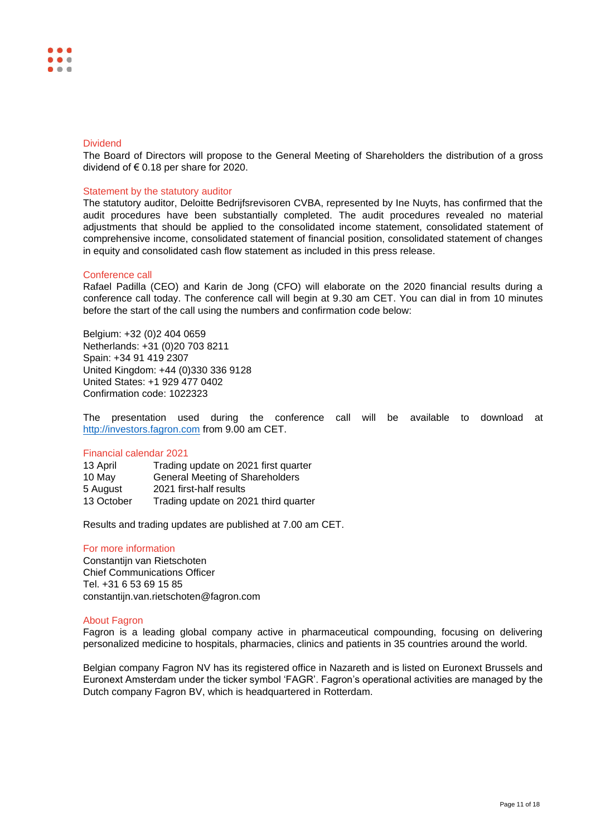### **Dividend**

The Board of Directors will propose to the General Meeting of Shareholders the distribution of a gross dividend of  $\epsilon$  0.18 per share for 2020.

### Statement by the statutory auditor

The statutory auditor, Deloitte Bedrijfsrevisoren CVBA, represented by Ine Nuyts, has confirmed that the audit procedures have been substantially completed. The audit procedures revealed no material adjustments that should be applied to the consolidated income statement, consolidated statement of comprehensive income, consolidated statement of financial position, consolidated statement of changes in equity and consolidated cash flow statement as included in this press release.

### Conference call

Rafael Padilla (CEO) and Karin de Jong (CFO) will elaborate on the 2020 financial results during a conference call today. The conference call will begin at 9.30 am CET. You can dial in from 10 minutes before the start of the call using the numbers and confirmation code below:

Belgium: +32 (0)2 404 0659 Netherlands: +31 (0)20 703 8211 Spain: +34 91 419 2307 United Kingdom: +44 (0)330 336 9128 United States: +1 929 477 0402 Confirmation code: 1022323

The presentation used during the conference call will be available to download at [http://investors.fagron.com](http://investors.fagron.com/) from 9.00 am CET.

# Financial calendar 2021

| 13 April   | Trading update on 2021 first quarter   |
|------------|----------------------------------------|
| 10 May     | <b>General Meeting of Shareholders</b> |
| 5 August   | 2021 first-half results                |
| 13 October | Trading update on 2021 third quarter   |

Results and trading updates are published at 7.00 am CET.

### For more information

Constantijn van Rietschoten Chief Communications Officer Tel. +31 6 53 69 15 85 constantijn.van.rietschoten@fagron.com

#### About Fagron

Fagron is a leading global company active in pharmaceutical compounding, focusing on delivering personalized medicine to hospitals, pharmacies, clinics and patients in 35 countries around the world.

Belgian company Fagron NV has its registered office in Nazareth and is listed on Euronext Brussels and Euronext Amsterdam under the ticker symbol 'FAGR'. Fagron's operational activities are managed by the Dutch company Fagron BV, which is headquartered in Rotterdam.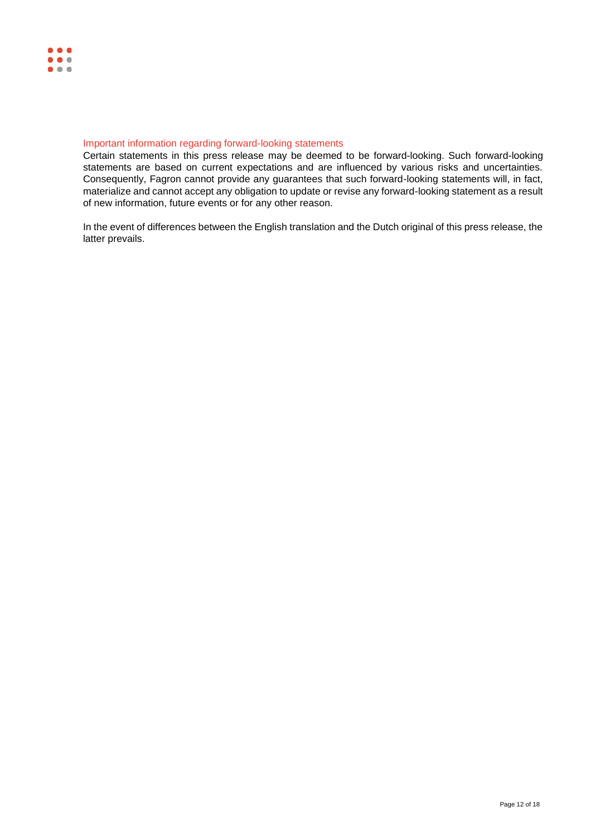# Important information regarding forward-looking statements

Certain statements in this press release may be deemed to be forward-looking. Such forward-looking statements are based on current expectations and are influenced by various risks and uncertainties. Consequently, Fagron cannot provide any guarantees that such forward-looking statements will, in fact, materialize and cannot accept any obligation to update or revise any forward-looking statement as a result of new information, future events or for any other reason.

In the event of differences between the English translation and the Dutch original of this press release, the latter prevails.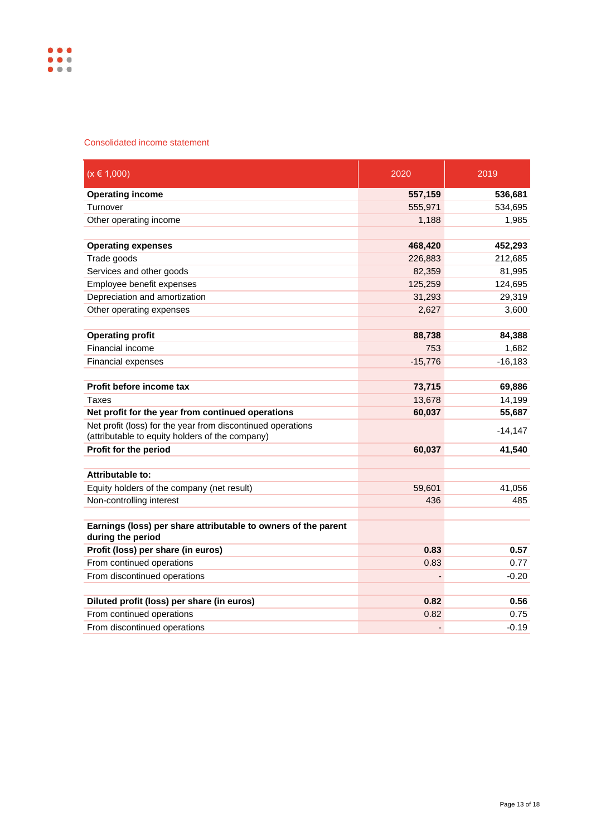

# Consolidated income statement

| $(x \in 1,000)$                                                                                                | 2020      | 2019      |
|----------------------------------------------------------------------------------------------------------------|-----------|-----------|
| <b>Operating income</b>                                                                                        | 557,159   | 536,681   |
| Turnover                                                                                                       | 555,971   | 534,695   |
| Other operating income                                                                                         | 1,188     | 1,985     |
| <b>Operating expenses</b>                                                                                      | 468,420   | 452,293   |
| Trade goods                                                                                                    | 226,883   | 212,685   |
| Services and other goods                                                                                       | 82,359    | 81,995    |
| Employee benefit expenses                                                                                      | 125,259   | 124,695   |
| Depreciation and amortization                                                                                  | 31,293    | 29,319    |
| Other operating expenses                                                                                       | 2,627     | 3,600     |
|                                                                                                                |           |           |
| <b>Operating profit</b>                                                                                        | 88,738    | 84,388    |
| Financial income                                                                                               | 753       | 1,682     |
| Financial expenses                                                                                             | $-15,776$ | $-16,183$ |
|                                                                                                                |           |           |
| Profit before income tax                                                                                       | 73,715    | 69,886    |
| Taxes                                                                                                          | 13,678    | 14,199    |
| Net profit for the year from continued operations                                                              | 60,037    | 55,687    |
| Net profit (loss) for the year from discontinued operations<br>(attributable to equity holders of the company) |           | $-14,147$ |
| Profit for the period                                                                                          | 60,037    | 41,540    |
|                                                                                                                |           |           |
| <b>Attributable to:</b>                                                                                        |           |           |
| Equity holders of the company (net result)                                                                     | 59,601    | 41,056    |
| Non-controlling interest                                                                                       | 436       | 485       |
| Earnings (loss) per share attributable to owners of the parent<br>during the period                            |           |           |
| Profit (loss) per share (in euros)                                                                             | 0.83      | 0.57      |
| From continued operations                                                                                      | 0.83      | 0.77      |
| From discontinued operations                                                                                   |           | $-0.20$   |
| Diluted profit (loss) per share (in euros)                                                                     | 0.82      | 0.56      |
| From continued operations                                                                                      | 0.82      | 0.75      |
| From discontinued operations                                                                                   | ÷,        | $-0.19$   |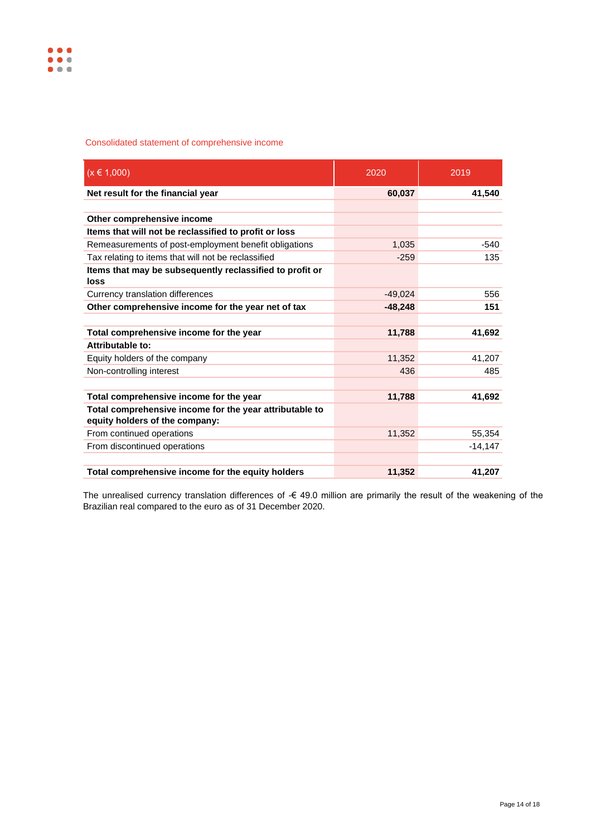# Consolidated statement of comprehensive income

| $(x \in 1,000)$                                                                           | 2020      | 2019      |
|-------------------------------------------------------------------------------------------|-----------|-----------|
| Net result for the financial year                                                         | 60,037    | 41,540    |
|                                                                                           |           |           |
| Other comprehensive income                                                                |           |           |
| Items that will not be reclassified to profit or loss                                     |           |           |
| Remeasurements of post-employment benefit obligations                                     | 1,035     | $-540$    |
| Tax relating to items that will not be reclassified                                       | $-259$    | 135       |
| Items that may be subsequently reclassified to profit or<br>loss                          |           |           |
| Currency translation differences                                                          | $-49.024$ | 556       |
| Other comprehensive income for the year net of tax                                        | $-48,248$ | 151       |
|                                                                                           |           |           |
| Total comprehensive income for the year                                                   | 11,788    | 41,692    |
| Attributable to:                                                                          |           |           |
| Equity holders of the company                                                             | 11,352    | 41,207    |
| Non-controlling interest                                                                  | 436       | 485       |
|                                                                                           |           |           |
| Total comprehensive income for the year                                                   | 11,788    | 41,692    |
| Total comprehensive income for the year attributable to<br>equity holders of the company: |           |           |
| From continued operations                                                                 | 11,352    | 55,354    |
| From discontinued operations                                                              |           | $-14,147$ |
| Total comprehensive income for the equity holders                                         | 11,352    | 41,207    |

The unrealised currency translation differences of -€ 49.0 million are primarily the result of the weakening of the Brazilian real compared to the euro as of 31 December 2020.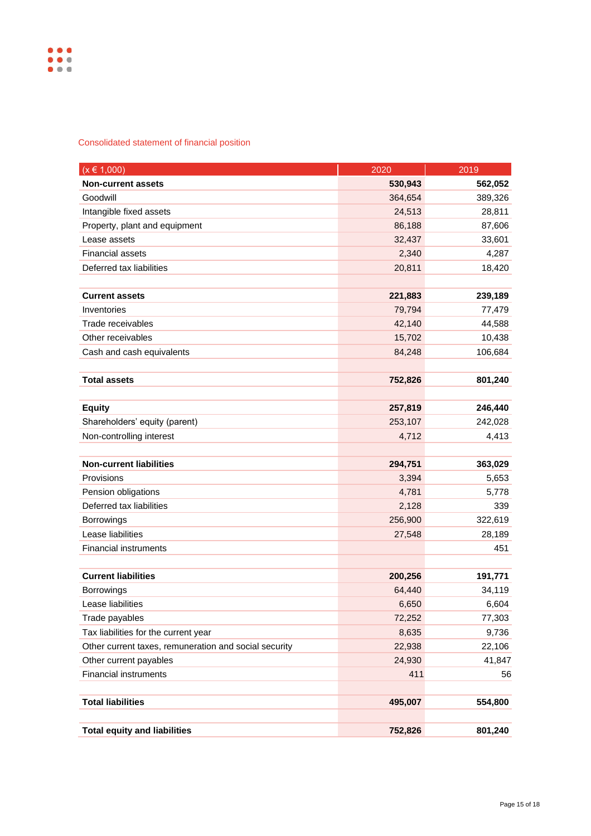# Consolidated statement of financial position

| $(x \in 1,000)$                                       | 2020    | 2019    |
|-------------------------------------------------------|---------|---------|
| <b>Non-current assets</b>                             | 530,943 | 562,052 |
| Goodwill                                              | 364,654 | 389,326 |
| Intangible fixed assets                               | 24,513  | 28,811  |
| Property, plant and equipment                         | 86,188  | 87,606  |
| Lease assets                                          | 32,437  | 33,601  |
| <b>Financial assets</b>                               | 2,340   | 4,287   |
| Deferred tax liabilities                              | 20,811  | 18,420  |
|                                                       |         |         |
| <b>Current assets</b>                                 | 221,883 | 239,189 |
| Inventories                                           | 79,794  | 77,479  |
| Trade receivables                                     | 42,140  | 44,588  |
| Other receivables                                     | 15,702  | 10,438  |
| Cash and cash equivalents                             | 84,248  | 106,684 |
|                                                       |         |         |
| <b>Total assets</b>                                   | 752,826 | 801,240 |
|                                                       |         |         |
| <b>Equity</b>                                         | 257,819 | 246,440 |
| Shareholders' equity (parent)                         | 253,107 | 242,028 |
| Non-controlling interest                              | 4,712   | 4,413   |
|                                                       |         |         |
| <b>Non-current liabilities</b>                        | 294,751 | 363,029 |
| Provisions                                            | 3,394   | 5,653   |
| Pension obligations                                   | 4,781   | 5,778   |
| Deferred tax liabilities                              | 2,128   | 339     |
| <b>Borrowings</b>                                     | 256,900 | 322,619 |
| Lease liabilities                                     | 27,548  | 28,189  |
| <b>Financial instruments</b>                          |         | 451     |
|                                                       |         |         |
| <b>Current liabilities</b>                            | 200,256 | 191,771 |
| <b>Borrowings</b>                                     | 64,440  | 34,119  |
| Lease liabilities                                     | 6,650   | 6,604   |
| Trade payables                                        | 72,252  | 77,303  |
| Tax liabilities for the current year                  | 8,635   | 9,736   |
| Other current taxes, remuneration and social security | 22,938  | 22,106  |
| Other current payables                                | 24,930  | 41,847  |
| <b>Financial instruments</b>                          | 411     | 56      |
|                                                       |         |         |
| <b>Total liabilities</b>                              | 495,007 | 554,800 |
|                                                       |         |         |
| <b>Total equity and liabilities</b>                   | 752,826 | 801,240 |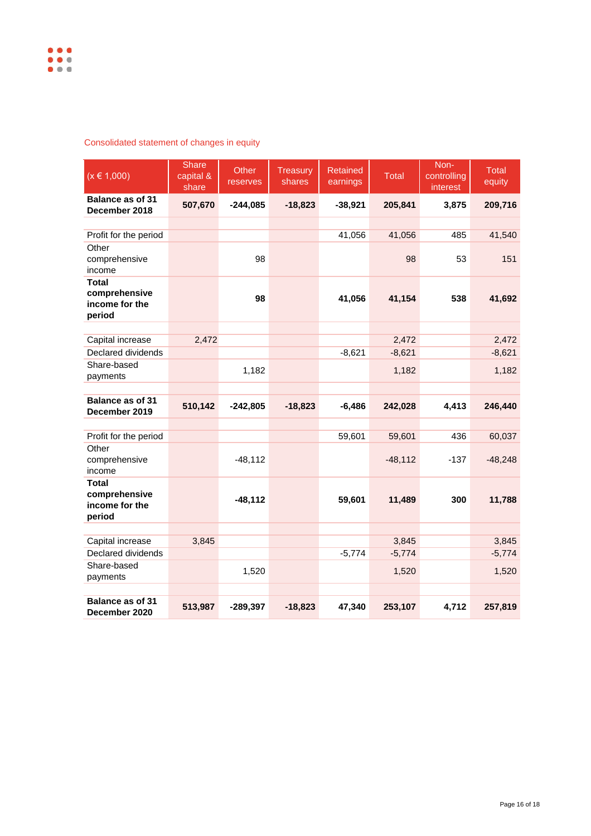# Consolidated statement of changes in equity

| $(x \in 1,000)$                                           | <b>Share</b><br>capital &<br>share | Other<br>reserves | Treasury<br>shares | <b>Retained</b><br>earnings | <b>Total</b> | Non-<br>controlling<br>interest | Total<br>equity |
|-----------------------------------------------------------|------------------------------------|-------------------|--------------------|-----------------------------|--------------|---------------------------------|-----------------|
| Balance as of 31<br>December 2018                         | 507,670                            | $-244,085$        | $-18,823$          | $-38,921$                   | 205,841      | 3,875                           | 209,716         |
|                                                           |                                    |                   |                    |                             |              |                                 |                 |
| Profit for the period                                     |                                    |                   |                    | 41,056                      | 41,056       | 485                             | 41,540          |
| Other<br>comprehensive<br>income                          |                                    | 98                |                    |                             | 98           | 53                              | 151             |
| <b>Total</b><br>comprehensive<br>income for the<br>period |                                    | 98                |                    | 41,056                      | 41,154       | 538                             | 41,692          |
|                                                           |                                    |                   |                    |                             |              |                                 |                 |
| Capital increase                                          | 2,472                              |                   |                    |                             | 2,472        |                                 | 2,472           |
| Declared dividends                                        |                                    |                   |                    | $-8,621$                    | $-8,621$     |                                 | $-8,621$        |
| Share-based<br>payments                                   |                                    | 1,182             |                    |                             | 1,182        |                                 | 1,182           |
|                                                           |                                    |                   |                    |                             |              |                                 |                 |
| <b>Balance as of 31</b><br>December 2019                  | 510,142                            | $-242,805$        | $-18,823$          | $-6,486$                    | 242,028      | 4,413                           | 246,440         |
|                                                           |                                    |                   |                    |                             |              |                                 |                 |
| Profit for the period                                     |                                    |                   |                    | 59,601                      | 59,601       | 436                             | 60,037          |
| Other<br>comprehensive<br>income                          |                                    | $-48,112$         |                    |                             | $-48,112$    | $-137$                          | $-48,248$       |
| <b>Total</b><br>comprehensive<br>income for the<br>period |                                    | $-48,112$         |                    | 59,601                      | 11,489       | 300                             | 11,788          |
|                                                           |                                    |                   |                    |                             |              |                                 |                 |
| Capital increase                                          | 3,845                              |                   |                    |                             | 3,845        |                                 | 3,845           |
| Declared dividends                                        |                                    |                   |                    | $-5,774$                    | $-5,774$     |                                 | $-5,774$        |
| Share-based<br>payments                                   |                                    | 1,520             |                    |                             | 1,520        |                                 | 1,520           |
|                                                           |                                    |                   |                    |                             |              |                                 |                 |
| Balance as of 31<br>December 2020                         | 513,987                            | $-289,397$        | $-18,823$          | 47,340                      | 253,107      | 4.712                           | 257,819         |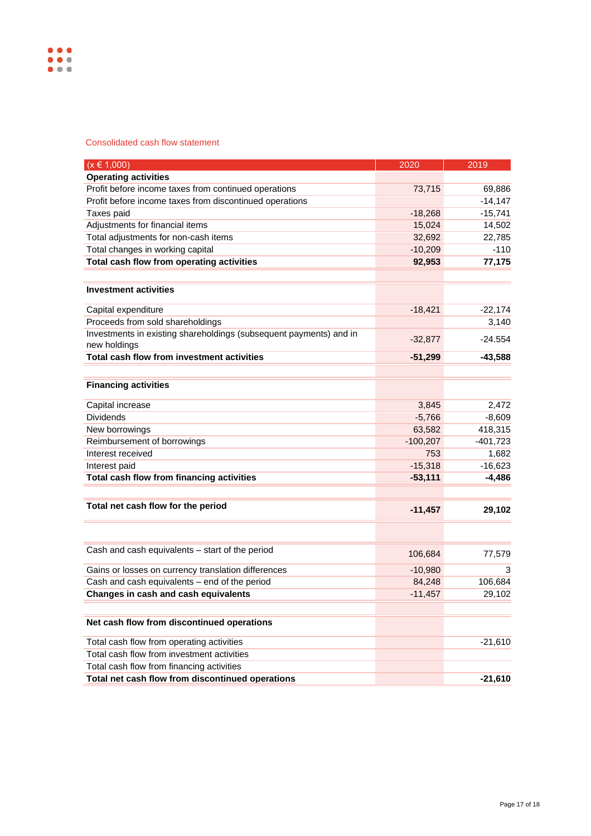Consolidated cash flow statement

| $(x \in 1,000)$                                                                         | 2020       | 2019       |
|-----------------------------------------------------------------------------------------|------------|------------|
| <b>Operating activities</b>                                                             |            |            |
| Profit before income taxes from continued operations                                    | 73,715     | 69,886     |
| Profit before income taxes from discontinued operations                                 |            | $-14,147$  |
| Taxes paid                                                                              | $-18,268$  | $-15,741$  |
| Adjustments for financial items                                                         | 15,024     | 14,502     |
| Total adjustments for non-cash items                                                    | 32,692     | 22,785     |
| Total changes in working capital                                                        | $-10,209$  | $-110$     |
| Total cash flow from operating activities                                               | 92,953     | 77,175     |
| <b>Investment activities</b>                                                            |            |            |
|                                                                                         |            |            |
| Capital expenditure                                                                     | $-18,421$  | $-22,174$  |
| Proceeds from sold shareholdings                                                        |            | 3,140      |
| Investments in existing shareholdings (subsequent payments) and in<br>new holdings      | $-32,877$  | $-24.554$  |
| Total cash flow from investment activities                                              | $-51,299$  | $-43,588$  |
|                                                                                         |            |            |
| <b>Financing activities</b>                                                             |            |            |
| Capital increase                                                                        | 3,845      | 2,472      |
| <b>Dividends</b>                                                                        | $-5,766$   | $-8,609$   |
| New borrowings                                                                          | 63,582     | 418,315    |
| Reimbursement of borrowings                                                             | $-100,207$ | $-401,723$ |
| Interest received                                                                       | 753        | 1,682      |
| Interest paid                                                                           | $-15,318$  | $-16,623$  |
| Total cash flow from financing activities                                               | $-53,111$  | $-4,486$   |
| Total net cash flow for the period                                                      | $-11,457$  | 29,102     |
|                                                                                         |            |            |
|                                                                                         |            |            |
| Cash and cash equivalents - start of the period                                         | 106,684    | 77,579     |
| Gains or losses on currency translation differences                                     | $-10,980$  | 3          |
| Cash and cash equivalents - end of the period                                           | 84,248     | 106,684    |
| Changes in cash and cash equivalents                                                    | $-11,457$  | 29,102     |
| Net cash flow from discontinued operations                                              |            |            |
|                                                                                         |            |            |
| Total cash flow from operating activities<br>Total cash flow from investment activities |            | $-21,610$  |
| Total cash flow from financing activities                                               |            |            |
| Total net cash flow from discontinued operations                                        |            | $-21,610$  |
|                                                                                         |            |            |